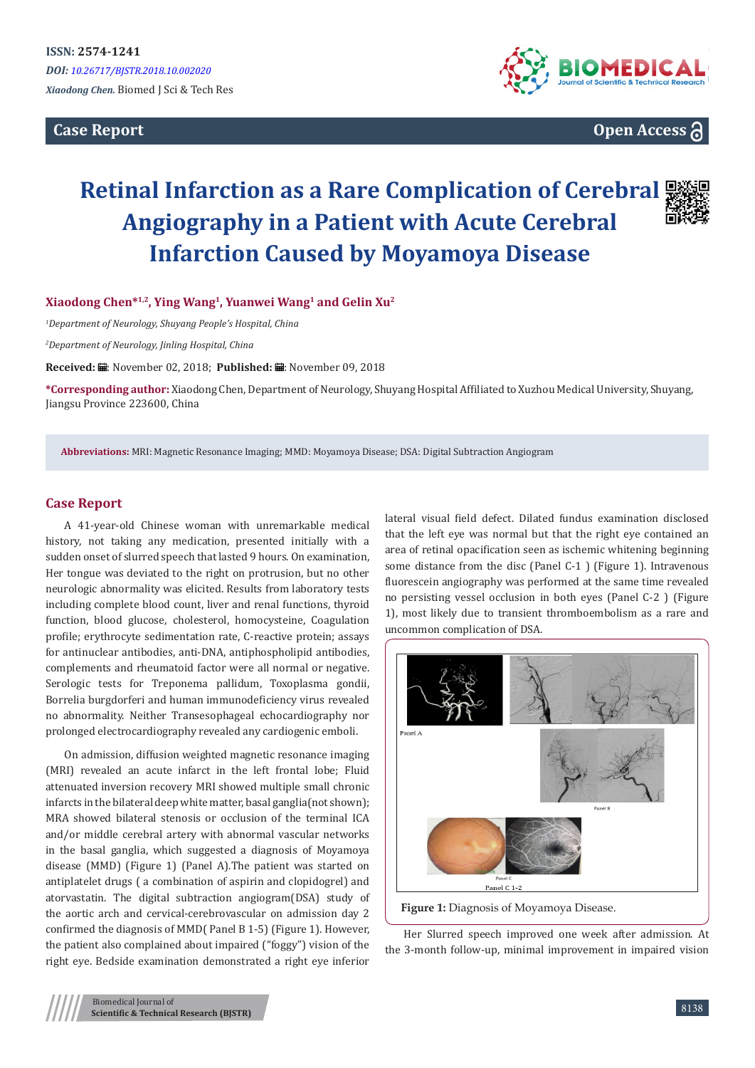**Case Report** 



**Open Access**

# **Retinal Infarction as a Rare Complication of Cerebral Angiography in a Patient with Acute Cerebral Infarction Caused by Moyamoya Disease**

**Xiaodong Chen\*1,2, Ying Wang1, Yuanwei Wang<sup>1</sup> and Gelin Xu<sup>2</sup>**

*1 Department of Neurology, Shuyang People's Hospital, China*

*2 Department of Neurology, Jinling Hospital, China*

Received: **■**: November 02, 2018; Published: ■: November 09, 2018

**\*Corresponding author:** Xiaodong Chen, Department of Neurology, Shuyang Hospital Affiliated to Xuzhou Medical University, Shuyang, Jiangsu Province 223600, China

**Abbreviations:** MRI: Magnetic Resonance Imaging; MMD: Moyamoya Disease; DSA: Digital Subtraction Angiogram

## **Case Report**

A 41-year-old Chinese woman with unremarkable medical history, not taking any medication, presented initially with a sudden onset of slurred speech that lasted 9 hours. On examination, Her tongue was deviated to the right on protrusion, but no other neurologic abnormality was elicited. Results from laboratory tests including complete blood count, liver and renal functions, thyroid function, blood glucose, cholesterol, homocysteine, Coagulation profile; erythrocyte sedimentation rate, C-reactive protein; assays for antinuclear antibodies, anti-DNA, antiphospholipid antibodies, complements and rheumatoid factor were all normal or negative. Serologic tests for Treponema pallidum, Toxoplasma gondii, Borrelia burgdorferi and human immunodeficiency virus revealed no abnormality. Neither Transesophageal echocardiography nor prolonged electrocardiography revealed any cardiogenic emboli.

On admission, diffusion weighted magnetic resonance imaging (MRI) revealed an acute infarct in the left frontal lobe; Fluid attenuated inversion recovery MRI showed multiple small chronic infarcts in the bilateral deep white matter, basal ganglia(not shown); MRA showed bilateral stenosis or occlusion of the terminal ICA and/or middle cerebral artery with abnormal vascular networks in the basal ganglia, which suggested a diagnosis of Moyamoya disease (MMD) (Figure 1) (Panel A).The patient was started on antiplatelet drugs ( a combination of aspirin and clopidogrel) and atorvastatin. The digital subtraction angiogram(DSA) study of the aortic arch and cervical-cerebrovascular on admission day 2 confirmed the diagnosis of MMD( Panel B 1-5) (Figure 1). However, the patient also complained about impaired ("foggy") vision of the right eye. Bedside examination demonstrated a right eye inferior lateral visual field defect. Dilated fundus examination disclosed that the left eye was normal but that the right eye contained an area of retinal opacification seen as ischemic whitening beginning some distance from the disc (Panel C-1 ) (Figure 1). Intravenous fluorescein angiography was performed at the same time revealed no persisting vessel occlusion in both eyes (Panel C-2 ) (Figure 1), most likely due to transient thromboembolism as a rare and uncommon complication of DSA.



Her Slurred speech improved one week after admission. At the 3-month follow-up, minimal improvement in impaired vision